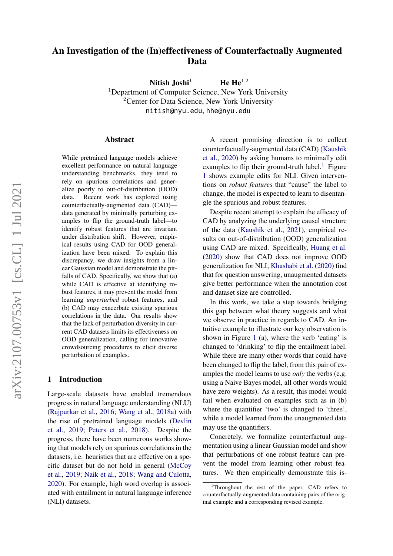# An Investigation of the (In)effectiveness of Counterfactually Augmented Data

Nitish Joshi<sup>1</sup> He He<sup>1,2</sup>

<sup>1</sup>Department of Computer Science, New York University <sup>2</sup>Center for Data Science, New York University nitish@nyu.edu, hhe@nyu.edu

#### Abstract

While pretrained language models achieve excellent performance on natural language understanding benchmarks, they tend to rely on spurious correlations and generalize poorly to out-of-distribution (OOD) data. Recent work has explored using counterfactually-augmented data (CAD) data generated by minimally perturbing examples to flip the ground-truth label—to identify robust features that are invariant under distribution shift. However, empirical results using CAD for OOD generalization have been mixed. To explain this discrepancy, we draw insights from a linear Gaussian model and demonstrate the pitfalls of CAD. Specifically, we show that (a) while CAD is effective at identifying robust features, it may prevent the model from learning *unperturbed* robust features, and (b) CAD may exacerbate existing spurious correlations in the data. Our results show that the lack of perturbation diversity in current CAD datasets limits its effectiveness on OOD generalization, calling for innovative crowdsourcing procedures to elicit diverse perturbation of examples.

#### 1 Introduction

Large-scale datasets have enabled tremendous progress in natural language understanding (NLU) [\(Rajpurkar et al.,](#page-10-0) [2016;](#page-10-0) [Wang et al.,](#page-10-1) [2018a\)](#page-10-1) with the rise of pretrained language models [\(Devlin](#page-8-0) [et al.,](#page-8-0) [2019;](#page-8-0) [Peters et al.,](#page-10-2) [2018\)](#page-10-2). Despite the progress, there have been numerous works showing that models rely on spurious correlations in the datasets, i.e. heuristics that are effective on a specific dataset but do not hold in general [\(McCoy](#page-9-0) [et al.,](#page-9-0) [2019;](#page-9-0) [Naik et al.,](#page-9-1) [2018;](#page-9-1) [Wang and Culotta,](#page-10-3) [2020\)](#page-10-3). For example, high word overlap is associated with entailment in natural language inference (NLI) datasets.

A recent promising direction is to collect counterfactually-augmented data (CAD) [\(Kaushik](#page-9-2) [et al.,](#page-9-2) [2020\)](#page-9-2) by asking humans to minimally edit examples to flip their ground-truth label.<sup>[1](#page-0-0)</sup> Figure [1](#page-1-0) shows example edits for NLI. Given interventions on *robust features* that "cause" the label to change, the model is expected to learn to disentangle the spurious and robust features.

Despite recent attempt to explain the efficacy of CAD by analyzing the underlying causal structure of the data [\(Kaushik et al.,](#page-9-3) [2021\)](#page-9-3), empirical results on out-of-distribution (OOD) generalization using CAD are mixed. Specifically, [Huang et al.](#page-9-4) [\(2020\)](#page-9-4) show that CAD does not improve OOD generalization for NLI; [Khashabi et al.](#page-9-5) [\(2020\)](#page-9-5) find that for question answering, unaugmented datasets give better performance when the annotation cost and dataset size are controlled.

In this work, we take a step towards bridging this gap between what theory suggests and what we observe in practice in regards to CAD. An intuitive example to illustrate our key observation is shown in Figure [1](#page-1-0) (a), where the verb 'eating' is changed to 'drinking' to flip the entailment label. While there are many other words that could have been changed to flip the label, from this pair of examples the model learns to use *only* the verbs (e.g. using a Naive Bayes model, all other words would have zero weights). As a result, this model would fail when evaluated on examples such as in (b) where the quantifier 'two' is changed to 'three', while a model learned from the unaugmented data may use the quantifiers.

Concretely, we formalize counterfactual augmentation using a linear Gaussian model and show that perturbations of one robust feature can prevent the model from learning other robust features. We then empirically demonstrate this is-

<span id="page-0-0"></span><sup>&</sup>lt;sup>1</sup>Throughout the rest of the paper, CAD refers to counterfactually-augmented data containing pairs of the original example and a corresponding revised example.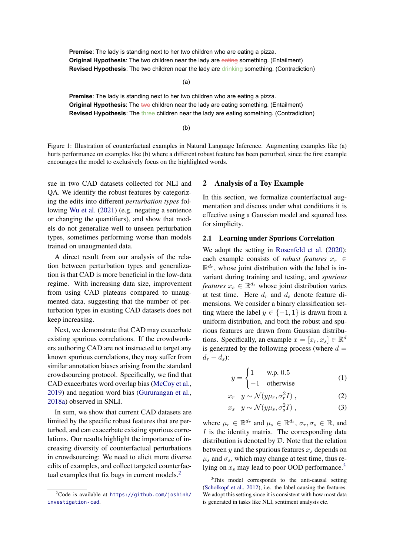**Premise**: The lady is standing next to her two children who are eating a pizza. **Original Hypothesis**: The two children near the lady are eating something. (Entailment) **Revised Hypothesis**: The two children near the lady are drinking something. (Contradiction)

#### (a)

**Premise**: The lady is standing next to her two children who are eating a pizza. **Original Hypothesis:** The two children near the lady are eating something. (Entailment) **Revised Hypothesis**: The three children near the lady are eating something. (Contradiction)

### (b)

<span id="page-1-0"></span>Figure 1: Illustration of counterfactual examples in Natural Language Inference. Augmenting examples like (a) hurts performance on examples like (b) where a different robust feature has been perturbed, since the first example encourages the model to exclusively focus on the highlighted words.

sue in two CAD datasets collected for NLI and QA. We identify the robust features by categorizing the edits into different *perturbation types* following [Wu et al.](#page-10-4) [\(2021\)](#page-10-4) (e.g. negating a sentence or changing the quantifiers), and show that models do not generalize well to unseen perturbation types, sometimes performing worse than models trained on unaugmented data.

A direct result from our analysis of the relation between perturbation types and generalization is that CAD is more beneficial in the low-data regime. With increasing data size, improvement from using CAD plateaus compared to unaugmented data, suggesting that the number of perturbation types in existing CAD datasets does not keep increasing.

Next, we demonstrate that CAD may exacerbate existing spurious correlations. If the crowdworkers authoring CAD are not instructed to target any known spurious correlations, they may suffer from similar annotation biases arising from the standard crowdsourcing protocol. Specifically, we find that CAD exacerbates word overlap bias [\(McCoy et al.,](#page-9-0) [2019\)](#page-9-0) and negation word bias [\(Gururangan et al.,](#page-9-6) [2018a\)](#page-9-6) observed in SNLI.

In sum, we show that current CAD datasets are limited by the specific robust features that are perturbed, and can exacerbate existing spurious correlations. Our results highlight the importance of increasing diversity of counterfactual perturbations in crowdsourcing: We need to elicit more diverse edits of examples, and collect targeted counterfac-tual examples that fix bugs in current models.<sup>[2](#page-1-1)</sup>

#### <span id="page-1-3"></span>2 Analysis of a Toy Example

In this section, we formalize counterfactual augmentation and discuss under what conditions it is effective using a Gaussian model and squared loss for simplicity.

#### 2.1 Learning under Spurious Correlation

We adopt the setting in [Rosenfeld et al.](#page-10-5) [\(2020\)](#page-10-5): each example consists of *robust features*  $x_r \in$  $\mathbb{R}^{d_r}$ , whose joint distribution with the label is invariant during training and testing, and *spurious features*  $x_s \in \mathbb{R}^{d_s}$  whose joint distribution varies at test time. Here  $d_r$  and  $d_s$  denote feature dimensions. We consider a binary classification setting where the label  $y \in \{-1, 1\}$  is drawn from a uniform distribution, and both the robust and spurious features are drawn from Gaussian distributions. Specifically, an example  $x = [x_r, x_s] \in \mathbb{R}^d$ is generated by the following process (where  $d =$  $d_r + d_s$ ):

$$
y = \begin{cases} 1 & \text{w.p. } 0.5 \\ -1 & \text{otherwise} \end{cases}
$$
 (1)

$$
x_r \mid y \sim \mathcal{N}(y\mu_r, \sigma_r^2 I) , \qquad (2)
$$

$$
x_s \mid y \sim \mathcal{N}(y\mu_s, \sigma_s^2 I) \,, \tag{3}
$$

where  $\mu_r \in \mathbb{R}^{d_r}$  and  $\mu_s \in \mathbb{R}^{d_s}$ ,  $\sigma_r, \sigma_s \in \mathbb{R}$ , and  $I$  is the identity matrix. The corresponding data distribution is denoted by  $D$ . Note that the relation between y and the spurious features  $x_s$  depends on  $\mu_s$  and  $\sigma_s$ , which may change at test time, thus relying on  $x_s$  may lead to poor OOD performance.<sup>[3](#page-1-2)</sup>

<span id="page-1-1"></span> $2^2$ Code is available at [https://github.com/joshinh/](https://github.com/joshinh/investigation-cad) [investigation-cad](https://github.com/joshinh/investigation-cad).

<span id="page-1-2"></span><sup>&</sup>lt;sup>3</sup>This model corresponds to the anti-causal setting [\(Scholkopf et al.,](#page-10-6) [2012\)](#page-10-6), i.e. the label causing the features. We adopt this setting since it is consistent with how most data is generated in tasks like NLI, sentiment analysis etc.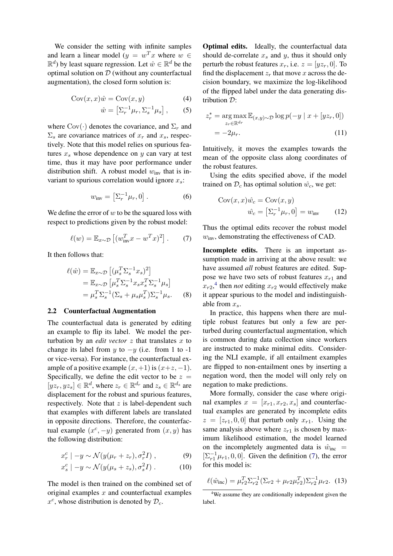We consider the setting with infinite samples and learn a linear model  $(y = w^T x$  where  $w \in$  $\mathbb{R}^d$ ) by least square regression. Let  $\hat{w} \in \mathbb{R}^d$  be the optimal solution on  $D$  (without any counterfactual augmentation), the closed form solution is:

$$
Cov(x, x)\hat{w} = Cov(x, y)
$$
 (4)

$$
\hat{w} = \left[\Sigma_r^{-1} \mu_r, \Sigma_s^{-1} \mu_s\right],\qquad(5)
$$

where  $\text{Cov}(\cdot)$  denotes the covariance, and  $\Sigma_r$  and  $\Sigma_s$  are covariance matrices of  $x_r$  and  $x_s$ , respectively. Note that this model relies on spurious features  $x_s$  whose dependence on y can vary at test time, thus it may have poor performance under distribution shift. A robust model  $w_{\text{inv}}$  that is invariant to spurious correlation would ignore  $x_s$ :

$$
w_{\text{inv}} = \left[\Sigma_r^{-1} \mu_r, 0\right].\tag{6}
$$

We define the error of  $w$  to be the squared loss with respect to predictions given by the robust model:

$$
\ell(w) = \mathbb{E}_{x \sim \mathcal{D}} \left[ (w_{\text{inv}}^T x - w^T x)^2 \right]. \tag{7}
$$

It then follows that:

$$
\ell(\hat{w}) = \mathbb{E}_{x \sim \mathcal{D}} \left[ (\mu_s^T \Sigma_s^{-1} x_s)^2 \right]
$$
  
=  $\mathbb{E}_{x \sim \mathcal{D}} \left[ \mu_s^T \Sigma_s^{-1} x_s x_s^T \Sigma_s^{-1} \mu_s \right]$   
=  $\mu_s^T \Sigma_s^{-1} (\Sigma_s + \mu_s \mu_s^T) \Sigma_s^{-1} \mu_s.$  (8)

#### 2.2 Counterfactual Augmentation

The counterfactual data is generated by editing an example to flip its label. We model the perturbation by an *edit vector*  $z$  that translates  $x$  to change its label from y to  $-y$  (i.e. from 1 to -1 or vice-versa). For instance, the counterfactual example of a positive example  $(x, +1)$  is  $(x+z, -1)$ . Specifically, we define the edit vector to be  $z =$  $[yz_r, yz_s] \in \mathbb{R}^d$ , where  $z_r \in \mathbb{R}^{d_r}$  and  $z_s \in \mathbb{R}^{d_s}$  are displacement for the robust and spurious features, respectively. Note that  $z$  is label-dependent such that examples with different labels are translated in opposite directions. Therefore, the counterfactual example  $(x^c, -y)$  generated from  $(x, y)$  has the following distribution:

$$
x_r^c \mid -y \sim \mathcal{N}(y(\mu_r + z_r), \sigma_r^2 I) , \qquad (9)
$$

$$
x_s^c \mid -y \sim \mathcal{N}(y(\mu_s + z_s), \sigma_s^2 I) \,. \tag{10}
$$

The model is then trained on the combined set of original examples  $x$  and counterfactual examples  $x^c$ , whose distribution is denoted by  $\mathcal{D}_c$ .

Optimal edits. Ideally, the counterfactual data should de-correlate  $x_s$  and y, thus it should only perturb the robust features  $x_r$ , i.e.  $z = [yz_r, 0]$ . To find the displacement  $z_r$  that move x across the decision boundary, we maximize the log-likelihood of the flipped label under the data generating distribution D:

$$
z_r^* = \underset{z_r \in \mathbb{R}^{d_r}}{\arg \max} \mathbb{E}_{(x,y) \sim \mathcal{D}} \log p(-y \mid x + [yz_r, 0])
$$

$$
= -2\mu_r. \tag{11}
$$

Intuitively, it moves the examples towards the mean of the opposite class along coordinates of the robust features.

Using the edits specified above, if the model trained on  $\mathcal{D}_c$  has optimal solution  $\hat{w}_c$ , we get:

$$
Cov(x, x)\hat{w}_c = Cov(x, y)
$$

$$
\hat{w}_c = \left[\sum_r^{-1} \mu_r, 0\right] = w_{\text{inv}}
$$
(12)

<span id="page-2-1"></span>Thus the optimal edits recover the robust model  $w<sub>inv</sub>$ , demonstrating the effectiveness of CAD.

Incomplete edits. There is an important assumption made in arriving at the above result: we have assumed *all* robust features are edited. Suppose we have two sets of robust features  $x_{r1}$  and  $x_{r2}$ <sup>[4](#page-2-0)</sup> then *not* editing  $x_{r2}$  would effectively make it appear spurious to the model and indistinguishable from  $x_s$ .

In practice, this happens when there are multiple robust features but only a few are perturbed during counterfactual augmentation, which is common during data collection since workers are instructed to make minimal edits. Considering the NLI example, if all entailment examples are flipped to non-entailment ones by inserting a negation word, then the model will only rely on negation to make predictions.

More formally, consider the case where original examples  $x = [x_{r1}, x_{r2}, x_s]$  and counterfactual examples are generated by incomplete edits  $z = [z_{r1}, 0, 0]$  that perturb only  $x_{r1}$ . Using the same analysis above where  $z_{r1}$  is chosen by maximum likelihood estimation, the model learned on the incompletely augmented data is  $\hat{w}_{inc}$  =  $[\Sigma_{r_1}^{-1} \mu_{r_1}, 0, 0]$ . Given the definition [\(7\)](#page-2-1), the error for this model is:

$$
\ell(\hat{w}_{\text{inc}}) = \mu_{r2}^T \Sigma_{r2}^{-1} (\Sigma_{r2} + \mu_{r2} \mu_{r2}^T) \Sigma_{r2}^{-1} \mu_{r2}. \tag{13}
$$

<span id="page-2-0"></span><sup>4</sup>We assume they are conditionally independent given the label.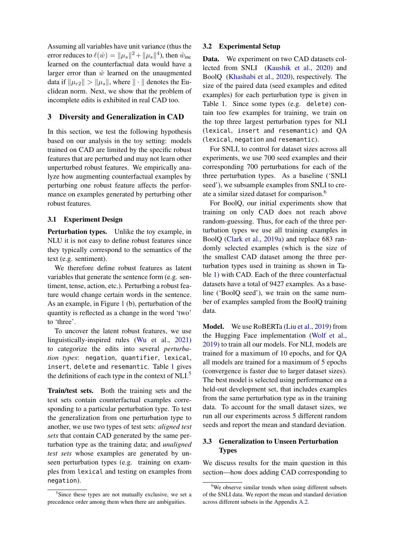Assuming all variables have unit variance (thus the error reduces to  $\ell(\hat w) = \|\mu_s\|^2 + \|\mu_s\|^4$ ), then  $\hat w_{\rm inc}$ learned on the counterfactual data would have a larger error than  $\hat{w}$  learned on the unaugmented data if  $\|\mu_{r2}\| > \|\mu_{s}\|$ , where  $\|\cdot\|$  denotes the Euclidean norm. Next, we show that the problem of incomplete edits is exhibited in real CAD too.

### 3 Diversity and Generalization in CAD

In this section, we test the following hypothesis based on our analysis in the toy setting: models trained on CAD are limited by the specific robust features that are perturbed and may not learn other unperturbed robust features. We empirically analyze how augmenting counterfactual examples by perturbing one robust feature affects the performance on examples generated by perturbing other robust features.

### 3.1 Experiment Design

Perturbation types. Unlike the toy example, in NLU it is not easy to define robust features since they typically correspond to the semantics of the text (e.g. sentiment).

We therefore define robust features as latent variables that generate the sentence form (e.g. sentiment, tense, action, etc.). Perturbing a robust feature would change certain words in the sentence. As an example, in Figure [1](#page-1-0) (b), perturbation of the quantity is reflected as a change in the word 'two' to 'three'.

To uncover the latent robust features, we use linguistically-inspired rules [\(Wu et al.,](#page-10-4) [2021\)](#page-10-4) to categorize the edits into several *perturbation types*: negation, quantifier, lexical, insert, delete and resemantic. Table [1](#page-4-0) gives the definitions of each type in the context of NLI. $<sup>5</sup>$  $<sup>5</sup>$  $<sup>5</sup>$ </sup>

Train/test sets. Both the training sets and the test sets contain counterfactual examples corresponding to a particular perturbation type. To test the generalization from one perturbation type to another, we use two types of test sets: *aligned test sets* that contain CAD generated by the same perturbation type as the training data; and *unaligned test sets* whose examples are generated by unseen perturbation types (e.g. training on examples from lexical and testing on examples from negation).

### <span id="page-3-3"></span>3.2 Experimental Setup

Data. We experiment on two CAD datasets collected from SNLI [\(Kaushik et al.,](#page-9-2) [2020\)](#page-9-2) and BoolQ [\(Khashabi et al.,](#page-9-5) [2020\)](#page-9-5), respectively. The size of the paired data (seed examples and edited examples) for each perturbation type is given in Table [1.](#page-4-0) Since some types (e.g. delete) contain too few examples for training, we train on the top three largest perturbation types for NLI (lexical, insert and resemantic) and QA (lexical, negation and resemantic).

For SNLI, to control for dataset sizes across all experiments, we use 700 seed examples and their corresponding 700 perturbations for each of the three perturbation types. As a baseline ('SNLI seed'), we subsample examples from SNLI to create a similar sized dataset for comparison.[6](#page-3-1)

For BoolQ, our initial experiments show that training on only CAD does not reach above random-guessing. Thus, for each of the three perturbation types we use all training examples in BoolQ [\(Clark et al.,](#page-8-1) [2019a\)](#page-8-1) and replace 683 randomly selected examples (which is the size of the smallest CAD dataset among the three perturbation types used in training as shown in Table [1\)](#page-4-0) with CAD. Each of the three counterfactual datasets have a total of 9427 examples. As a baseline ('BoolQ seed'), we train on the same number of examples sampled from the BoolQ training data.

Model. We use RoBERTa [\(Liu et al.,](#page-9-7) [2019\)](#page-9-7) from the Hugging Face implementation [\(Wolf et al.,](#page-10-7) [2019\)](#page-10-7) to train all our models. For NLI, models are trained for a maximum of 10 epochs, and for QA all models are trained for a maximum of 5 epochs (convergence is faster due to larger dataset sizes). The best model is selected using performance on a held-out development set, that includes examples from the same perturbation type as in the training data. To account for the small dataset sizes, we run all our experiments across 5 different random seeds and report the mean and standard deviation.

## <span id="page-3-2"></span>3.3 Generalization to Unseen Perturbation Types

We discuss results for the main question in this section—how does adding CAD corresponding to

<span id="page-3-0"></span><sup>&</sup>lt;sup>5</sup>Since these types are not mutually exclusive, we set a precedence order among them when there are ambiguities.

<span id="page-3-1"></span> $6$ We observe similar trends when using different subsets of the SNLI data. We report the mean and standard deviation across different subsets in the Appendix [A.2.](#page-11-0)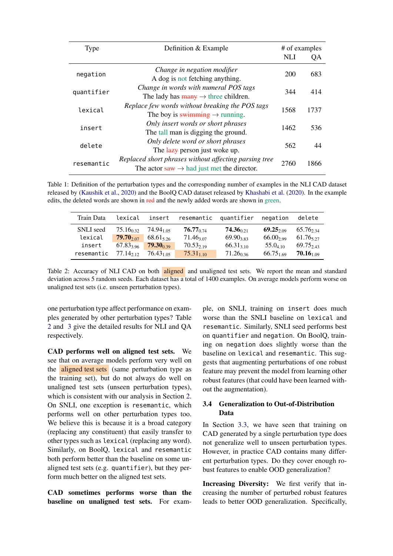| <b>Type</b> | Definition & Example                                                                                                            | # of examples |      |
|-------------|---------------------------------------------------------------------------------------------------------------------------------|---------------|------|
|             |                                                                                                                                 | NLI           | QA   |
| negation    | Change in negation modifier<br>A dog is not fetching anything.                                                                  | 200           | 683  |
| quantifier  | Change in words with numeral POS tags<br>The lady has $\frac{many}{} \rightarrow$ three children.                               | 344           | 414  |
| lexical     | Replace few words without breaking the POS tags<br>The boy is swimming $\rightarrow$ running.                                   | 1568          | 1737 |
| insert      | Only insert words or short phrases<br>The tall man is digging the ground.                                                       | 1462          | 536  |
| delete      | Only delete word or short phrases<br>The lazy person just woke up.                                                              | 562           | 44   |
| resemantic  | Replaced short phrases without affecting parsing tree<br>The actor $\frac{2}{3}$ actor $\frac{2}{3}$ and just met the director. | 2760          | 1866 |

<span id="page-4-0"></span>Table 1: Definition of the perturbation types and the corresponding number of examples in the NLI CAD dataset released by [\(Kaushik et al.,](#page-9-2) [2020\)](#page-9-2) and the BoolQ CAD dataset released by [Khashabi et al.](#page-9-5) [\(2020\)](#page-9-5). In the example edits, the deleted words are shown in red and the newly added words are shown in green.

| Train Data | lexical        | insert                 | resemantic              | quantifier     | negation       | delete                 |
|------------|----------------|------------------------|-------------------------|----------------|----------------|------------------------|
| SNLI seed  | $75.16_{0.32}$ | 74.94 <sub>1.05</sub>  | $76.77_{0.74}$          | $74.36_{0.21}$ | $69.25_{209}$  | $65.76_{2,34}$         |
| lexical    | $79.70_{2.07}$ | $68.61$ <sub>526</sub> | $71.46$ <sub>3.07</sub> | $69.90_{3.83}$ | $66.00_{2.99}$ | $61.76$ <sub>527</sub> |
| insert     | $67.83_{3.96}$ | $79.30_{0.39}$         | $70.53_{2.19}$          | $66.31_{3,10}$ | $55.0_{4,10}$  | $69.75_{2.43}$         |
| resemantic | $77.14_{212}$  | $76.43_{1.05}$         | $75.31_{1,10}$          | $71.26_{0.36}$ | $66.75_{1.69}$ | $70.16_{1.09}$         |

<span id="page-4-1"></span>Table 2: Accuracy of NLI CAD on both aligned and unaligned test sets. We report the mean and standard deviation across 5 random seeds. Each dataset has a total of 1400 examples. On average models perform worse on unaligned test sets (i.e. unseen perturbation types).

one perturbation type affect performance on examples generated by other perturbation types? Table [2](#page-4-1) and [3](#page-5-0) give the detailed results for NLI and QA respectively.

CAD performs well on aligned test sets. We see that on average models perform very well on the aligned test sets (same perturbation type as the training set), but do not always do well on unaligned test sets (unseen perturbation types), which is consistent with our analysis in Section [2.](#page-1-3) On SNLI, one exception is resemantic, which performs well on other perturbation types too. We believe this is because it is a broad category (replacing any constituent) that easily transfer to other types such as lexical (replacing any word). Similarly, on BoolQ, lexical and resemantic both perform better than the baseline on some unaligned test sets (e.g. quantifier), but they perform much better on the aligned test sets.

CAD sometimes performs worse than the baseline on unaligned test sets. For example, on SNLI, training on insert does much worse than the SNLI baseline on lexical and resemantic. Similarly, SNLI seed performs best on quantifier and negation. On BoolQ, training on negation does slightly worse than the baseline on lexical and resemantic. This suggests that augmenting perturbations of one robust feature may prevent the model from learning other robust features (that could have been learned without the augmentation).

### 3.4 Generalization to Out-of-Distribution Data

In Section [3.3,](#page-3-2) we have seen that training on CAD generated by a single perturbation type does not generalize well to unseen perturbation types. However, in practice CAD contains many different perturbation types. Do they cover enough robust features to enable OOD generalization?

Increasing Diversity: We first verify that increasing the number of perturbed robust features leads to better OOD generalization. Specifically,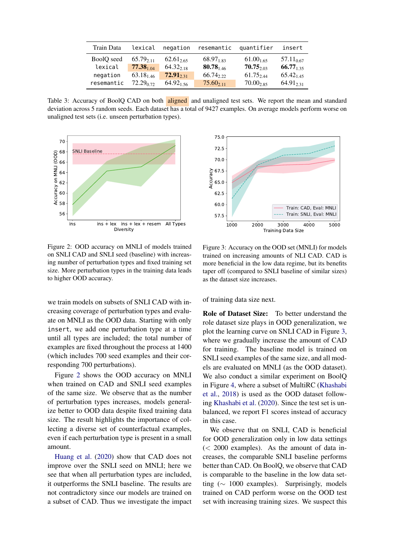| Train Data | lexical        | negation       | resemantic             | quantifier     | insert         |
|------------|----------------|----------------|------------------------|----------------|----------------|
| BoolO seed | $65.79_{2,11}$ | $62.61_{2.65}$ | $68.97_{1.83}$         | $61.00_{1.65}$ | $57.11_{0.67}$ |
| lexical    | $77.38_{1.04}$ | $64.32_{2.18}$ | $80.78$ <sub>146</sub> | $70.75_{2.03}$ | $66.77_{135}$  |
| negation   | $63.18_{1.46}$ | $72.91_{2.31}$ | $66.74_{222}$          | $61.75_{2.44}$ | $65.42_{1.45}$ |
| resemantic | $72.29_{0.72}$ | $64.92_{1.56}$ | $75.60_{2.11}$         | $70.00_{2.85}$ | $64.91_{2.31}$ |

<span id="page-5-0"></span>Table 3: Accuracy of BoolQ CAD on both **aligned** and unaligned test sets. We report the mean and standard deviation across 5 random seeds. Each dataset has a total of 9427 examples. On average models perform worse on unaligned test sets (i.e. unseen perturbation types).



<span id="page-5-1"></span>Figure 2: OOD accuracy on MNLI of models trained on SNLI CAD and SNLI seed (baseline) with increasing number of perturbation types and fixed training set size. More perturbation types in the training data leads to higher OOD accuracy.

we train models on subsets of SNLI CAD with increasing coverage of perturbation types and evaluate on MNLI as the OOD data. Starting with only insert, we add one perturbation type at a time until all types are included; the total number of examples are fixed throughout the process at 1400 (which includes 700 seed examples and their corresponding 700 perturbations).

Figure [2](#page-5-1) shows the OOD accuracy on MNLI when trained on CAD and SNLI seed examples of the same size. We observe that as the number of perturbation types increases, models generalize better to OOD data despite fixed training data size. The result highlights the importance of collecting a diverse set of counterfactual examples, even if each perturbation type is present in a small amount.

[Huang et al.](#page-9-4) [\(2020\)](#page-9-4) show that CAD does not improve over the SNLI seed on MNLI; here we see that when all perturbation types are included, it outperforms the SNLI baseline. The results are not contradictory since our models are trained on a subset of CAD. Thus we investigate the impact



<span id="page-5-2"></span>Figure 3: Accuracy on the OOD set (MNLI) for models trained on increasing amounts of NLI CAD. CAD is more beneficial in the low data regime, but its benefits taper off (compared to SNLI baseline of similar sizes) as the dataset size increases.

of training data size next.

Role of Dataset Size: To better understand the role dataset size plays in OOD generalization, we plot the learning curve on SNLI CAD in Figure [3,](#page-5-2) where we gradually increase the amount of CAD for training. The baseline model is trained on SNLI seed examples of the same size, and all models are evaluated on MNLI (as the OOD dataset). We also conduct a similar experiment on BoolQ in Figure [4,](#page-6-0) where a subset of MultiRC [\(Khashabi](#page-9-8) [et al.,](#page-9-8) [2018\)](#page-9-8) is used as the OOD dataset following [Khashabi et al.](#page-9-5) [\(2020\)](#page-9-5). Since the test set is unbalanced, we report F1 scores instead of accuracy in this case.

We observe that on SNLI, CAD is beneficial for OOD generalization only in low data settings  $\ll 2000$  examples). As the amount of data increases, the comparable SNLI baseline performs better than CAD. On BoolQ, we observe that CAD is comparable to the baseline in the low data setting ( $\sim$  1000 examples). Surprisingly, models trained on CAD perform worse on the OOD test set with increasing training sizes. We suspect this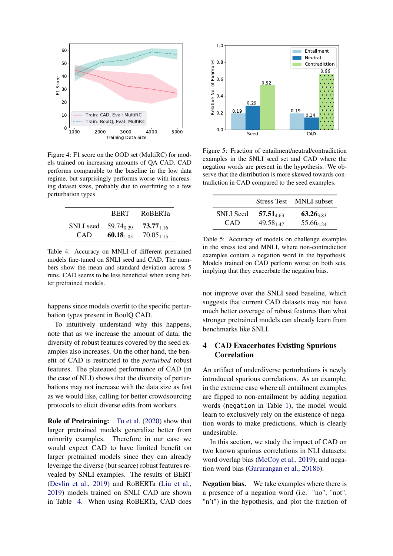

<span id="page-6-0"></span>Figure 4: F1 score on the OOD set (MultiRC) for models trained on increasing amounts of QA CAD. CAD performs comparable to the baseline in the low data regime, but surprisingly performs worse with increasing dataset sizes, probably due to overfitting to a few perturbation types

|                          | <b>BERT</b>             | <b>ROBERTa</b> |
|--------------------------|-------------------------|----------------|
| SNLI seed $59.74_{0.29}$ |                         | $73.77_{1.16}$ |
| CAD                      | $60.18$ <sub>1.05</sub> | $70.05_{1.15}$ |

<span id="page-6-1"></span>Table 4: Accuracy on MNLI of different pretrained models fine-tuned on SNLI seed and CAD. The numbers show the mean and standard deviation across 5 runs. CAD seems to be less beneficial when using better pretrained models.

happens since models overfit to the specific perturbation types present in BoolQ CAD.

To intuitively understand why this happens, note that as we increase the amount of data, the diversity of robust features covered by the seed examples also increases. On the other hand, the benefit of CAD is restricted to the *perturbed* robust features. The plateaued performance of CAD (in the case of NLI) shows that the diversity of perturbations may not increase with the data size as fast as we would like, calling for better crowdsourcing protocols to elicit diverse edits from workers.

Role of Pretraining: [Tu et al.](#page-10-8) [\(2020\)](#page-10-8) show that larger pretrained models generalize better from minority examples. Therefore in our case we would expect CAD to have limited benefit on larger pretrained models since they can already leverage the diverse (but scarce) robust features revealed by SNLI examples. The results of BERT [\(Devlin et al.,](#page-8-0) [2019\)](#page-8-0) and RoBERTa [\(Liu et al.,](#page-9-7) [2019\)](#page-9-7) models trained on SNLI CAD are shown in Table [4.](#page-6-1) When using RoBERTa, CAD does



<span id="page-6-2"></span>Figure 5: Fraction of entailment/neutral/contradiction examples in the SNLI seed set and CAD where the negation words are present in the hypothesis. We observe that the distribution is more skewed towards contradiction in CAD compared to the seed examples.

|                  | Stress Test    | MNLI subset           |
|------------------|----------------|-----------------------|
| <b>SNLI</b> Seed | $57.51_{4.63}$ | $63.26_{3.83}$        |
| CAD              | $49.58_{1.47}$ | 55.66 <sub>4.24</sub> |

<span id="page-6-3"></span>Table 5: Accuracy of models on challenge examples in the stress test and MNLI, where non-contradiction examples contain a negation word in the hypothesis. Models trained on CAD perform worse on both sets, implying that they exacerbate the negation bias.

not improve over the SNLI seed baseline, which suggests that current CAD datasets may not have much better coverage of robust features than what stronger pretrained models can already learn from benchmarks like SNLI.

## 4 CAD Exacerbates Existing Spurious Correlation

An artifact of underdiverse perturbations is newly introduced spurious correlations. As an example, in the extreme case where all entailment examples are flipped to non-entailment by adding negation words (negation in Table [1\)](#page-4-0), the model would learn to exclusively rely on the existence of negation words to make predictions, which is clearly undesirable.

In this section, we study the impact of CAD on two known spurious correlations in NLI datasets: word overlap bias [\(McCoy et al.,](#page-9-0) [2019\)](#page-9-0); and negation word bias [\(Gururangan et al.,](#page-9-9) [2018b\)](#page-9-9).

Negation bias. We take examples where there is a presence of a negation word (i.e. "no", "not", "n't") in the hypothesis, and plot the fraction of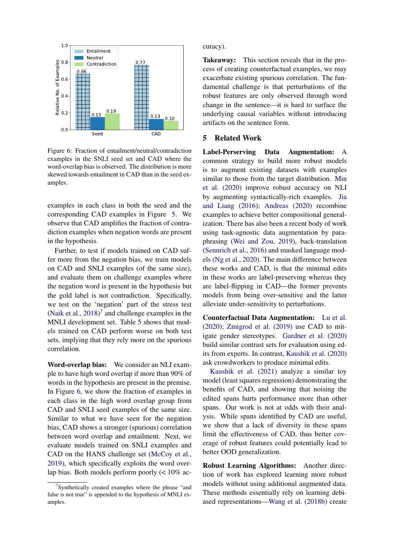

<span id="page-7-1"></span>Figure 6: Fraction of entailment/neutral/contradiction examples in the SNLI seed set and CAD where the word-overlap bias is observed. The distribution is more skewed towards entailment in CAD than in the seed examples.

examples in each class in both the seed and the corresponding CAD examples in Figure [5.](#page-6-2) We observe that CAD amplifies the fraction of contradiction examples when negation words are present in the hypothesis.

Further, to test if models trained on CAD suffer more from the negation bias, we train models on CAD and SNLI examples (of the same size), and evaluate them on challenge examples where the negation word is present in the hypothesis but the gold label is not contradiction. Specifically, we test on the 'negation' part of the stress test [\(Naik et al.,](#page-9-1)  $2018$ )<sup>[7](#page-7-0)</sup> and challenge examples in the MNLI development set. Table [5](#page-6-3) shows that models trained on CAD perform worse on both test sets, implying that they rely more on the spurious correlation.

Word-overlap bias: We consider an NLI example to have high word overlap if more than 90% of words in the hypothesis are present in the premise. In Figure [6,](#page-7-1) we show the fraction of examples in each class in the high word overlap group from CAD and SNLI seed examples of the same size. Similar to what we have seen for the negation bias, CAD shows a stronger (spurious) correlation between word overlap and entailment. Next, we evaluate models trained on SNLI examples and CAD on the HANS challenge set [\(McCoy et al.,](#page-9-0) [2019\)](#page-9-0), which specifically exploits the word overlap bias. Both models perform poorly  $\left($  < 10% ac-

### curacy).

Takeaway: This section reveals that in the process of creating counterfactual examples, we may exacerbate existing spurious correlation. The fundamental challenge is that perturbations of the robust features are only observed through word change in the sentence—it is hard to surface the underlying causal variables without introducing artifacts on the sentence form.

### 5 Related Work

Label-Perserving Data Augmentation: A common strategy to build more robust models is to augment existing datasets with examples similar to those from the target distribution. [Min](#page-9-10) [et al.](#page-9-10) [\(2020\)](#page-9-10) improve robust accuracy on NLI by augmenting syntactically-rich examples. [Jia](#page-9-11) [and Liang](#page-9-11) [\(2016\)](#page-9-11); [Andreas](#page-8-2) [\(2020\)](#page-8-2) recombine examples to achieve better compositional generalization. There has also been a recent body of work using task-agnostic data augmentation by paraphrasing [\(Wei and Zou,](#page-10-9) [2019\)](#page-10-9), back-translation [\(Sennrich et al.,](#page-10-10) [2016\)](#page-10-10) and masked language models [\(Ng et al.,](#page-10-11) [2020\)](#page-10-11). The main difference between these works and CAD, is that the minimal edits in these works are label-preserving whereas they are label-flipping in CAD—the former prevents models from being over-sensitive and the latter alleviate under-sensitivity to perturbations.

Counterfactual Data Augmentation: [Lu et al.](#page-9-12) [\(2020\)](#page-9-12); [Zmigrod et al.](#page-10-12) [\(2019\)](#page-10-12) use CAD to mitigate gender stereotypes. [Gardner et al.](#page-9-13) [\(2020\)](#page-9-13) build similar contrast sets for evaluation using edits from experts. In contrast, [Kaushik et al.](#page-9-2) [\(2020\)](#page-9-2) ask crowdworkers to produce minimal edits.

[Kaushik et al.](#page-9-3) [\(2021\)](#page-9-3) analyze a similar toy model (least squares regression) demonstrating the benefits of CAD, and showing that noising the edited spans hurts performance more than other spans. Our work is not at odds with their analysis. While spans identified by CAD are useful, we show that a lack of diversity in these spans limit the effectiveness of CAD, thus better coverage of robust features could potentially lead to better OOD generalization.

Robust Learning Algorithms: Another direction of work has explored learning more robust models without using additional augmented data. These methods essentially rely on learning debiased representations[—Wang et al.](#page-10-13) [\(2018b\)](#page-10-13) create

<span id="page-7-0"></span><sup>&</sup>lt;sup>7</sup>Synthetically created examples where the phrase "and false is not true" is appended to the hypothesis of MNLI examples.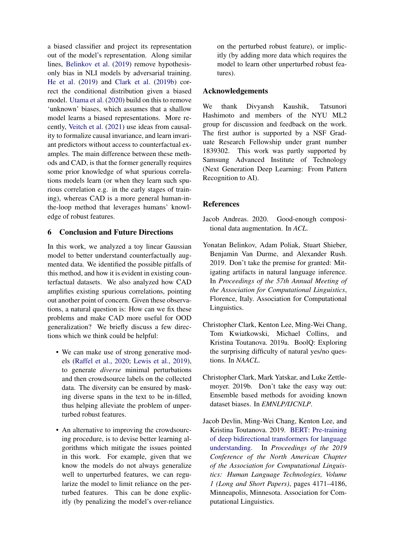a biased classifier and project its representation out of the model's representation. Along similar lines, [Belinkov et al.](#page-8-3) [\(2019\)](#page-8-3) remove hypothesisonly bias in NLI models by adversarial training. [He et al.](#page-9-14) [\(2019\)](#page-9-14) and [Clark et al.](#page-8-4) [\(2019b\)](#page-8-4) correct the conditional distribution given a biased model. [Utama et al.](#page-10-14) [\(2020\)](#page-10-14) build on this to remove 'unknown' biases, which assumes that a shallow model learns a biased representations. More recently, [Veitch et al.](#page-10-15) [\(2021\)](#page-10-15) use ideas from causality to formalize causal invariance, and learn invariant predictors without access to counterfactual examples. The main difference between these methods and CAD, is that the former generally requires some prior knowledge of what spurious correlations models learn (or when they learn such spurious correlation e.g. in the early stages of training), whereas CAD is a more general human-inthe-loop method that leverages humans' knowledge of robust features.

## 6 Conclusion and Future Directions

In this work, we analyzed a toy linear Gaussian model to better understand counterfactually augmented data. We identified the possible pitfalls of this method, and how it is evident in existing counterfactual datasets. We also analyzed how CAD amplifies existing spurious correlations, pointing out another point of concern. Given these observations, a natural question is: How can we fix these problems and make CAD more useful for OOD generalization? We briefly discuss a few directions which we think could be helpful:

- We can make use of strong generative models [\(Raffel et al.,](#page-10-16) [2020;](#page-10-16) [Lewis et al.,](#page-9-15) [2019\)](#page-9-15), to generate *diverse* minimal perturbations and then crowdsource labels on the collected data. The diversity can be ensured by masking diverse spans in the text to be in-filled, thus helping alleviate the problem of unperturbed robust features.
- An alternative to improving the crowdsourcing procedure, is to devise better learning algorithms which mitigate the issues pointed in this work. For example, given that we know the models do not always generalize well to unperturbed features, we can regularize the model to limit reliance on the perturbed features. This can be done explicitly (by penalizing the model's over-reliance

on the perturbed robust feature), or implicitly (by adding more data which requires the model to learn other unperturbed robust features).

## Acknowledgements

We thank Divyansh Kaushik, Tatsunori Hashimoto and members of the NYU ML2 group for discussion and feedback on the work. The first author is supported by a NSF Graduate Research Fellowship under grant number 1839302. This work was partly supported by Samsung Advanced Institute of Technology (Next Generation Deep Learning: From Pattern Recognition to AI).

## References

- <span id="page-8-2"></span>Jacob Andreas. 2020. Good-enough compositional data augmentation. In *ACL*.
- <span id="page-8-3"></span>Yonatan Belinkov, Adam Poliak, Stuart Shieber, Benjamin Van Durme, and Alexander Rush. 2019. Don't take the premise for granted: Mitigating artifacts in natural language inference. In *Proceedings of the 57th Annual Meeting of the Association for Computational Linguistics*, Florence, Italy. Association for Computational Linguistics.
- <span id="page-8-1"></span>Christopher Clark, Kenton Lee, Ming-Wei Chang, Tom Kwiatkowski, Michael Collins, and Kristina Toutanova. 2019a. BoolQ: Exploring the surprising difficulty of natural yes/no questions. In *NAACL*.
- <span id="page-8-4"></span>Christopher Clark, Mark Yatskar, and Luke Zettlemoyer. 2019b. Don't take the easy way out: Ensemble based methods for avoiding known dataset biases. In *EMNLP/IJCNLP*.
- <span id="page-8-0"></span>Jacob Devlin, Ming-Wei Chang, Kenton Lee, and Kristina Toutanova. 2019. [BERT: Pre-training](https://doi.org/10.18653/v1/N19-1423) [of deep bidirectional transformers for language](https://doi.org/10.18653/v1/N19-1423) [understanding.](https://doi.org/10.18653/v1/N19-1423) In *Proceedings of the 2019 Conference of the North American Chapter of the Association for Computational Linguistics: Human Language Technologies, Volume 1 (Long and Short Papers)*, pages 4171–4186, Minneapolis, Minnesota. Association for Computational Linguistics.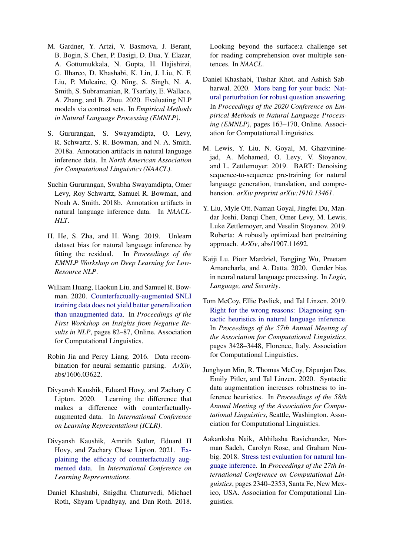- <span id="page-9-13"></span>M. Gardner, Y. Artzi, V. Basmova, J. Berant, B. Bogin, S. Chen, P. Dasigi, D. Dua, Y. Elazar, A. Gottumukkala, N. Gupta, H. Hajishirzi, G. Ilharco, D. Khashabi, K. Lin, J. Liu, N. F. Liu, P. Mulcaire, Q. Ning, S. Singh, N. A. Smith, S. Subramanian, R. Tsarfaty, E. Wallace, A. Zhang, and B. Zhou. 2020. Evaluating NLP models via contrast sets. In *Empirical Methods in Natural Language Processing (EMNLP)*.
- <span id="page-9-6"></span>S. Gururangan, S. Swayamdipta, O. Levy, R. Schwartz, S. R. Bowman, and N. A. Smith. 2018a. Annotation artifacts in natural language inference data. In *North American Association for Computational Linguistics (NAACL)*.
- <span id="page-9-9"></span>Suchin Gururangan, Swabha Swayamdipta, Omer Levy, Roy Schwartz, Samuel R. Bowman, and Noah A. Smith. 2018b. Annotation artifacts in natural language inference data. In *NAACL-HLT*.
- <span id="page-9-14"></span>H. He, S. Zha, and H. Wang. 2019. Unlearn dataset bias for natural language inference by fitting the residual. In *Proceedings of the EMNLP Workshop on Deep Learning for Low-Resource NLP*.
- <span id="page-9-4"></span>William Huang, Haokun Liu, and Samuel R. Bowman. 2020. [Counterfactually-augmented SNLI](https://doi.org/10.18653/v1/2020.insights-1.13) [training data does not yield better generalization](https://doi.org/10.18653/v1/2020.insights-1.13) [than unaugmented data.](https://doi.org/10.18653/v1/2020.insights-1.13) In *Proceedings of the First Workshop on Insights from Negative Results in NLP*, pages 82–87, Online. Association for Computational Linguistics.
- <span id="page-9-11"></span>Robin Jia and Percy Liang. 2016. Data recombination for neural semantic parsing. *ArXiv*, abs/1606.03622.
- <span id="page-9-2"></span>Divyansh Kaushik, Eduard Hovy, and Zachary C Lipton. 2020. Learning the difference that makes a difference with counterfactuallyaugmented data. In *International Conference on Learning Representations (ICLR)*.
- <span id="page-9-3"></span>Divyansh Kaushik, Amrith Setlur, Eduard H Hovy, and Zachary Chase Lipton. 2021. [Ex](https://openreview.net/forum?id=HHiiQKWsOcV)[plaining the efficacy of counterfactually aug](https://openreview.net/forum?id=HHiiQKWsOcV)[mented data.](https://openreview.net/forum?id=HHiiQKWsOcV) In *International Conference on Learning Representations*.
- <span id="page-9-8"></span>Daniel Khashabi, Snigdha Chaturvedi, Michael Roth, Shyam Upadhyay, and Dan Roth. 2018.

Looking beyond the surface:a challenge set for reading comprehension over multiple sentences. In *NAACL*.

- <span id="page-9-5"></span>Daniel Khashabi, Tushar Khot, and Ashish Sabharwal. 2020. [More bang for your buck: Nat](https://doi.org/10.18653/v1/2020.emnlp-main.12)[ural perturbation for robust question answering.](https://doi.org/10.18653/v1/2020.emnlp-main.12) In *Proceedings of the 2020 Conference on Empirical Methods in Natural Language Processing (EMNLP)*, pages 163–170, Online. Association for Computational Linguistics.
- <span id="page-9-15"></span>M. Lewis, Y. Liu, N. Goyal, M. Ghazvininejad, A. Mohamed, O. Levy, V. Stoyanov, and L. Zettlemoyer. 2019. BART: Denoising sequence-to-sequence pre-training for natural language generation, translation, and comprehension. *arXiv preprint arXiv:1910.13461*.
- <span id="page-9-7"></span>Y. Liu, Myle Ott, Naman Goyal, Jingfei Du, Mandar Joshi, Danqi Chen, Omer Levy, M. Lewis, Luke Zettlemoyer, and Veselin Stoyanov. 2019. Roberta: A robustly optimized bert pretraining approach. *ArXiv*, abs/1907.11692.
- <span id="page-9-12"></span>Kaiji Lu, Piotr Mardziel, Fangjing Wu, Preetam Amancharla, and A. Datta. 2020. Gender bias in neural natural language processing. In *Logic, Language, and Security*.
- <span id="page-9-0"></span>Tom McCoy, Ellie Pavlick, and Tal Linzen. 2019. [Right for the wrong reasons: Diagnosing syn](https://doi.org/10.18653/v1/P19-1334)[tactic heuristics in natural language inference.](https://doi.org/10.18653/v1/P19-1334) In *Proceedings of the 57th Annual Meeting of the Association for Computational Linguistics*, pages 3428–3448, Florence, Italy. Association for Computational Linguistics.
- <span id="page-9-10"></span>Junghyun Min, R. Thomas McCoy, Dipanjan Das, Emily Pitler, and Tal Linzen. 2020. Syntactic data augmentation increases robustness to inference heuristics. In *Proceedings of the 58th Annual Meeting of the Association for Computational Linguistics*, Seattle, Washington. Association for Computational Linguistics.
- <span id="page-9-1"></span>Aakanksha Naik, Abhilasha Ravichander, Norman Sadeh, Carolyn Rose, and Graham Neubig. 2018. [Stress test evaluation for natural lan](https://www.aclweb.org/anthology/C18-1198)[guage inference.](https://www.aclweb.org/anthology/C18-1198) In *Proceedings of the 27th International Conference on Computational Linguistics*, pages 2340–2353, Santa Fe, New Mexico, USA. Association for Computational Linguistics.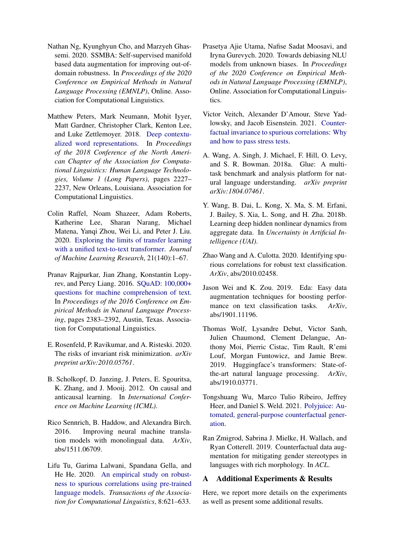- <span id="page-10-11"></span>Nathan Ng, Kyunghyun Cho, and Marzyeh Ghassemi. 2020. SSMBA: Self-supervised manifold based data augmentation for improving out-ofdomain robustness. In *Proceedings of the 2020 Conference on Empirical Methods in Natural Language Processing (EMNLP)*, Online. Association for Computational Linguistics.
- <span id="page-10-2"></span>Matthew Peters, Mark Neumann, Mohit Iyyer, Matt Gardner, Christopher Clark, Kenton Lee, and Luke Zettlemoyer. 2018. [Deep contextu](https://doi.org/10.18653/v1/N18-1202)[alized word representations.](https://doi.org/10.18653/v1/N18-1202) In *Proceedings of the 2018 Conference of the North American Chapter of the Association for Computational Linguistics: Human Language Technologies, Volume 1 (Long Papers)*, pages 2227– 2237, New Orleans, Louisiana. Association for Computational Linguistics.
- <span id="page-10-16"></span>Colin Raffel, Noam Shazeer, Adam Roberts, Katherine Lee, Sharan Narang, Michael Matena, Yanqi Zhou, Wei Li, and Peter J. Liu. 2020. [Exploring the limits of transfer learning](http://jmlr.org/papers/v21/20-074.html) [with a unified text-to-text transformer.](http://jmlr.org/papers/v21/20-074.html) *Journal of Machine Learning Research*, 21(140):1–67.
- <span id="page-10-0"></span>Pranav Rajpurkar, Jian Zhang, Konstantin Lopyrev, and Percy Liang. 2016. [SQuAD: 100,000+](https://doi.org/10.18653/v1/D16-1264) [questions for machine comprehension of text.](https://doi.org/10.18653/v1/D16-1264) In *Proceedings of the 2016 Conference on Empirical Methods in Natural Language Processing*, pages 2383–2392, Austin, Texas. Association for Computational Linguistics.
- <span id="page-10-5"></span>E. Rosenfeld, P. Ravikumar, and A. Risteski. 2020. The risks of invariant risk minimization. *arXiv preprint arXiv:2010.05761*.
- <span id="page-10-6"></span>B. Scholkopf, D. Janzing, J. Peters, E. Sgouritsa, K. Zhang, and J. Mooij. 2012. On causal and anticausal learning. In *International Conference on Machine Learning (ICML)*.
- <span id="page-10-10"></span>Rico Sennrich, B. Haddow, and Alexandra Birch. 2016. Improving neural machine translation models with monolingual data. *ArXiv*, abs/1511.06709.
- <span id="page-10-8"></span>Lifu Tu, Garima Lalwani, Spandana Gella, and He He. 2020. [An empirical study on robust](https://doi.org/10.1162/tacl_a_00335)[ness to spurious correlations using pre-trained](https://doi.org/10.1162/tacl_a_00335) [language models.](https://doi.org/10.1162/tacl_a_00335) *Transactions of the Association for Computational Linguistics*, 8:621–633.
- <span id="page-10-14"></span>Prasetya Ajie Utama, Nafise Sadat Moosavi, and Iryna Gurevych. 2020. Towards debiasing NLU models from unknown biases. In *Proceedings of the 2020 Conference on Empirical Methods in Natural Language Processing (EMNLP)*, Online. Association for Computational Linguistics.
- <span id="page-10-15"></span>Victor Veitch, Alexander D'Amour, Steve Yadlowsky, and Jacob Eisenstein. 2021. [Counter](http://arxiv.org/abs/2106.00545)[factual invariance to spurious correlations: Why](http://arxiv.org/abs/2106.00545) [and how to pass stress tests.](http://arxiv.org/abs/2106.00545)
- <span id="page-10-1"></span>A. Wang, A. Singh, J. Michael, F. Hill, O. Levy, and S. R. Bowman. 2018a. Glue: A multitask benchmark and analysis platform for natural language understanding. *arXiv preprint arXiv:1804.07461*.
- <span id="page-10-13"></span>Y. Wang, B. Dai, L. Kong, X. Ma, S. M. Erfani, J. Bailey, S. Xia, L. Song, and H. Zha. 2018b. Learning deep hidden nonlinear dynamics from aggregate data. In *Uncertainty in Artificial Intelligence (UAI)*.
- <span id="page-10-3"></span>Zhao Wang and A. Culotta. 2020. Identifying spurious correlations for robust text classification. *ArXiv*, abs/2010.02458.
- <span id="page-10-9"></span>Jason Wei and K. Zou. 2019. Eda: Easy data augmentation techniques for boosting performance on text classification tasks. *ArXiv*, abs/1901.11196.
- <span id="page-10-7"></span>Thomas Wolf, Lysandre Debut, Victor Sanh, Julien Chaumond, Clement Delangue, Anthony Moi, Pierric Cistac, Tim Rault, R'emi Louf, Morgan Funtowicz, and Jamie Brew. 2019. Huggingface's transformers: State-ofthe-art natural language processing. *ArXiv*, abs/1910.03771.
- <span id="page-10-4"></span>Tongshuang Wu, Marco Tulio Ribeiro, Jeffrey Heer, and Daniel S. Weld. 2021. [Polyjuice: Au](http://arxiv.org/abs/2101.00288)[tomated, general-purpose counterfactual gener](http://arxiv.org/abs/2101.00288)[ation.](http://arxiv.org/abs/2101.00288)
- <span id="page-10-12"></span>Ran Zmigrod, Sabrina J. Mielke, H. Wallach, and Ryan Cotterell. 2019. Counterfactual data augmentation for mitigating gender stereotypes in languages with rich morphology. In *ACL*.

## A Additional Experiments & Results

Here, we report more details on the experiments as well as present some additional results.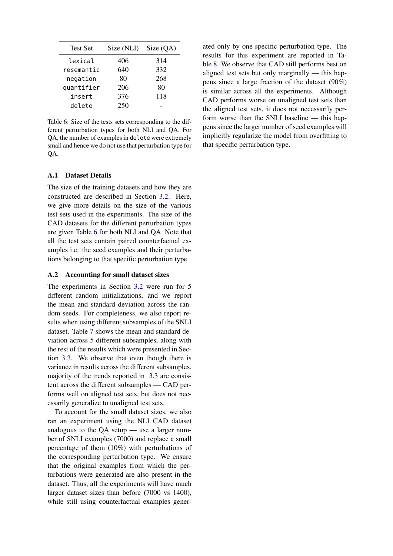| <b>Test Set</b> | Size (NLI) | Size (QA) |
|-----------------|------------|-----------|
| lexical         | 406        | 314       |
| resemantic      | 640        | 332       |
| negation        | 80         | 268       |
| quantifier      | 206        | 80        |
| insert          | 376        | 118       |
| delete          | 250        |           |

<span id="page-11-1"></span>Table 6: Size of the tests sets corresponding to the different perturbation types for both NLI and QA. For QA, the number of examples in delete were extremely small and hence we do not use that perturbation type for QA.

### A.1 Dataset Details

The size of the training datasets and how they are constructed are described in Section [3.2.](#page-3-3) Here, we give more details on the size of the various test sets used in the experiments. The size of the CAD datasets for the different perturbation types are given Table [6](#page-11-1) for both NLI and QA. Note that all the test sets contain paired counterfactual examples i.e. the seed examples and their perturbations belonging to that specific perturbation type.

### <span id="page-11-0"></span>A.2 Accounting for small dataset sizes

The experiments in Section [3.2](#page-3-3) were run for 5 different random initializations, and we report the mean and standard deviation across the random seeds. For completeness, we also report results when using different subsamples of the SNLI dataset. Table [7](#page-12-0) shows the mean and standard deviation across 5 different subsamples, along with the rest of the results which were presented in Section [3.3.](#page-3-2) We observe that even though there is variance in results across the different subsamples, majority of the trends reported in [3.3](#page-3-2) are consistent across the different subsamples — CAD performs well on aligned test sets, but does not necessarily generalize to unaligned test sets.

To account for the small dataset sizes, we also ran an experiment using the NLI CAD dataset analogous to the QA setup — use a larger number of SNLI examples (7000) and replace a small percentage of them (10%) with perturbations of the corresponding perturbation type. We ensure that the original examples from which the perturbations were generated are also present in the dataset. Thus, all the experiments will have much larger dataset sizes than before (7000 vs 1400), while still using counterfactual examples gener-

ated only by one specific perturbation type. The results for this experiment are reported in Table [8.](#page-12-1) We observe that CAD still performs best on aligned test sets but only marginally — this happens since a large fraction of the dataset (90%) is similar across all the experiments. Although CAD performs worse on unaligned test sets than the aligned test sets, it does not necessarily perform worse than the SNLI baseline — this happens since the larger number of seed examples will implicitly regularize the model from overfitting to that specific perturbation type.